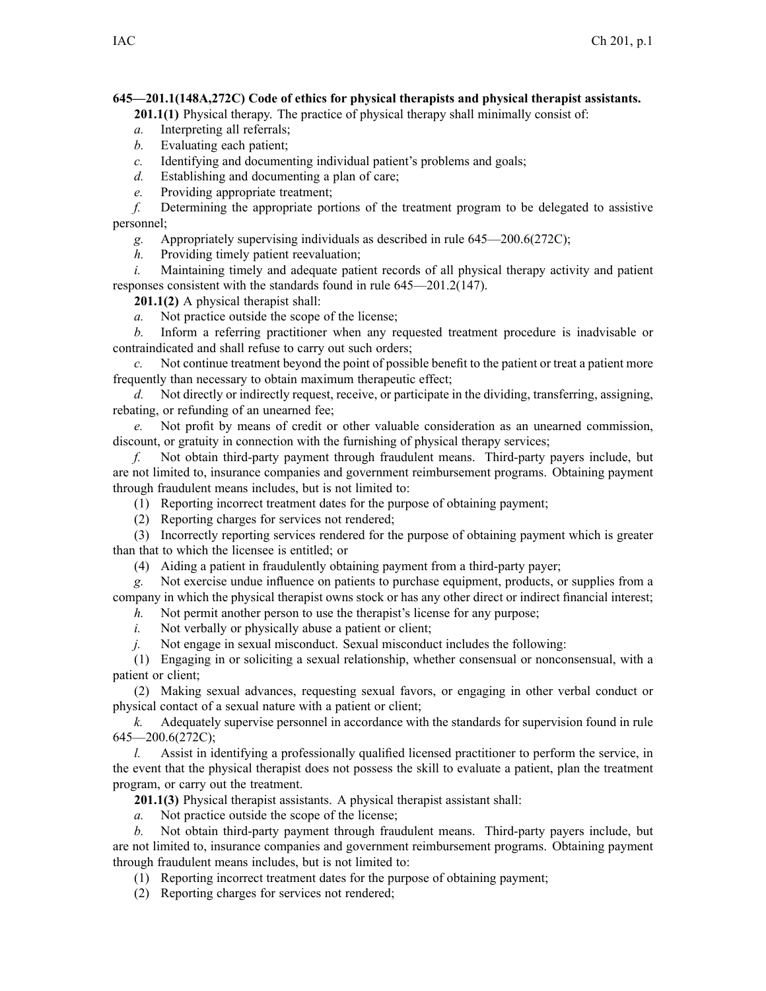## **645—201.1(148A,272C) Code of ethics for physical therapists and physical therapist assistants.**

**201.1(1)** Physical therapy. The practice of physical therapy shall minimally consist of:

- *a.* Interpreting all referrals;
- *b.* Evaluating each patient;
- *c.* Identifying and documenting individual patient's problems and goals;
- *d.* Establishing and documenting <sup>a</sup> plan of care;
- *e.* Providing appropriate treatment;

*f.* Determining the appropriate portions of the treatment program to be delegated to assistive personnel;

- *g.* Appropriately supervising individuals as described in rule 645—200.6(272C);
- *h.* Providing timely patient reevaluation;

*i.* Maintaining timely and adequate patient records of all physical therapy activity and patient responses consistent with the standards found in rule 645—201.2(147).

**201.1(2)** A physical therapist shall:

*a.* Not practice outside the scope of the license;

*b.* Inform <sup>a</sup> referring practitioner when any requested treatment procedure is inadvisable or contraindicated and shall refuse to carry out such orders;

*c.* Not continue treatment beyond the point of possible benefit to the patient or treat <sup>a</sup> patient more frequently than necessary to obtain maximum therapeutic effect;

*d.* Not directly or indirectly request, receive, or participate in the dividing, transferring, assigning, rebating, or refunding of an unearned fee;

*e.* Not profit by means of credit or other valuable consideration as an unearned commission, discount, or gratuity in connection with the furnishing of physical therapy services;

*f.* Not obtain third-party paymen<sup>t</sup> through fraudulent means. Third-party payers include, but are not limited to, insurance companies and governmen<sup>t</sup> reimbursement programs. Obtaining paymen<sup>t</sup> through fraudulent means includes, but is not limited to:

(1) Reporting incorrect treatment dates for the purpose of obtaining payment;

(2) Reporting charges for services not rendered;

(3) Incorrectly reporting services rendered for the purpose of obtaining paymen<sup>t</sup> which is greater than that to which the licensee is entitled; or

(4) Aiding <sup>a</sup> patient in fraudulently obtaining paymen<sup>t</sup> from <sup>a</sup> third-party payer;

*g.* Not exercise undue influence on patients to purchase equipment, products, or supplies from <sup>a</sup> company in which the physical therapist owns stock or has any other direct or indirect financial interest;

*h.* Not permit another person to use the therapist's license for any purpose;

*i.* Not verbally or physically abuse a patient or client;

*j.* Not engage in sexual misconduct. Sexual misconduct includes the following:

(1) Engaging in or soliciting <sup>a</sup> sexual relationship, whether consensual or nonconsensual, with <sup>a</sup> patient or client;

(2) Making sexual advances, requesting sexual favors, or engaging in other verbal conduct or physical contact of <sup>a</sup> sexual nature with <sup>a</sup> patient or client;

*k.* Adequately supervise personnel in accordance with the standards for supervision found in rule  $645 - 200.6(272C)$ ;

*l.* Assist in identifying a professionally qualified licensed practitioner to perform the service, in the event that the physical therapist does not possess the skill to evaluate <sup>a</sup> patient, plan the treatment program, or carry out the treatment.

**201.1(3)** Physical therapist assistants. A physical therapist assistant shall:

*a.* Not practice outside the scope of the license;

*b.* Not obtain third-party paymen<sup>t</sup> through fraudulent means. Third-party payers include, but are not limited to, insurance companies and governmen<sup>t</sup> reimbursement programs. Obtaining paymen<sup>t</sup> through fraudulent means includes, but is not limited to:

(1) Reporting incorrect treatment dates for the purpose of obtaining payment;

(2) Reporting charges for services not rendered;